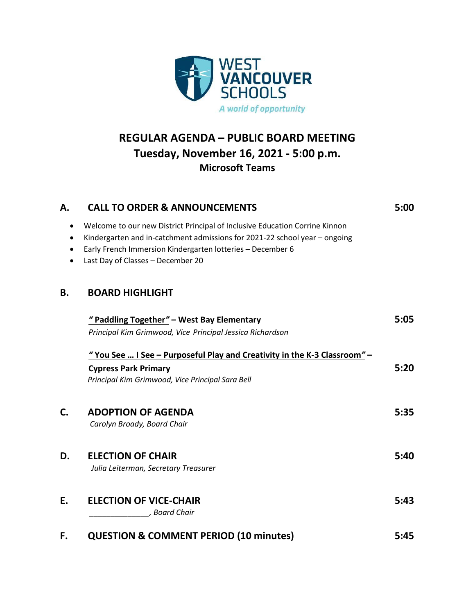

## **REGULAR AGENDA – PUBLIC BOARD MEETING Tuesday, November 16, 2021 - 5:00 p.m. Microsoft Teams**

| А.        | <b>CALL TO ORDER &amp; ANNOUNCEMENTS</b>                                                                                                                                                                                                                     | 5:00 |
|-----------|--------------------------------------------------------------------------------------------------------------------------------------------------------------------------------------------------------------------------------------------------------------|------|
| $\bullet$ | Welcome to our new District Principal of Inclusive Education Corrine Kinnon<br>Kindergarten and in-catchment admissions for 2021-22 school year - ongoing<br>Early French Immersion Kindergarten lotteries - December 6<br>Last Day of Classes - December 20 |      |
| Β.        | <b>BOARD HIGHLIGHT</b>                                                                                                                                                                                                                                       |      |
|           | "Paddling Together" - West Bay Elementary                                                                                                                                                                                                                    | 5:05 |
|           | Principal Kim Grimwood, Vice Principal Jessica Richardson                                                                                                                                                                                                    |      |
|           | "You See  I See – Purposeful Play and Creativity in the K-3 Classroom" –                                                                                                                                                                                     |      |
|           | <b>Cypress Park Primary</b>                                                                                                                                                                                                                                  | 5:20 |
|           | Principal Kim Grimwood, Vice Principal Sara Bell                                                                                                                                                                                                             |      |
| C.        | <b>ADOPTION OF AGENDA</b>                                                                                                                                                                                                                                    | 5:35 |
|           | Carolyn Broady, Board Chair                                                                                                                                                                                                                                  |      |
| D.        | <b>ELECTION OF CHAIR</b>                                                                                                                                                                                                                                     | 5:40 |
|           | Julia Leiterman, Secretary Treasurer                                                                                                                                                                                                                         |      |
| E.        | <b>ELECTION OF VICE-CHAIR</b>                                                                                                                                                                                                                                | 5:43 |
|           | , Board Chair                                                                                                                                                                                                                                                |      |
| F.        | <b>QUESTION &amp; COMMENT PERIOD (10 minutes)</b>                                                                                                                                                                                                            | 5:45 |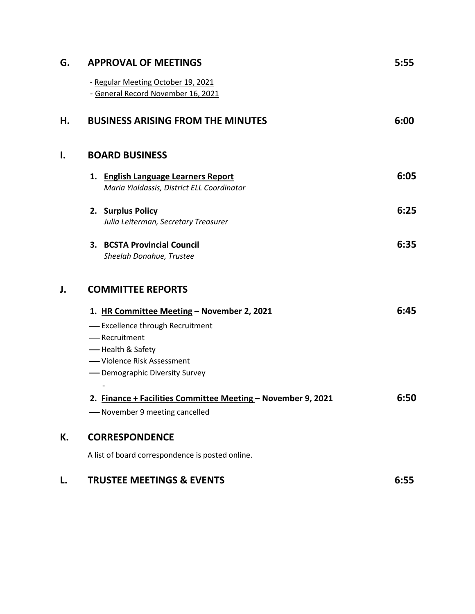| G. | <b>APPROVAL OF MEETINGS</b>                                                       | 5:55 |
|----|-----------------------------------------------------------------------------------|------|
|    | - Regular Meeting October 19, 2021<br>- General Record November 16, 2021          |      |
| Н. | <b>BUSINESS ARISING FROM THE MINUTES</b>                                          | 6:00 |
| I. | <b>BOARD BUSINESS</b>                                                             |      |
|    | 1. English Language Learners Report<br>Maria Yioldassis, District ELL Coordinator | 6:05 |
|    | 2. Surplus Policy<br>Julia Leiterman, Secretary Treasurer                         | 6:25 |
|    | 3. BCSTA Provincial Council<br>Sheelah Donahue, Trustee                           | 6:35 |
| J. | <b>COMMITTEE REPORTS</b>                                                          |      |
|    | 1. HR Committee Meeting - November 2, 2021                                        | 6:45 |
|    | - Excellence through Recruitment                                                  |      |
|    | -Recruitment                                                                      |      |
|    | - Health & Safety<br>-Violence Risk Assessment                                    |      |
|    | - Demographic Diversity Survey                                                    |      |
|    |                                                                                   |      |
|    | 2. Finance + Facilities Committee Meeting - November 9, 2021                      | 6:50 |
|    | -November 9 meeting cancelled                                                     |      |
| К. | <b>CORRESPONDENCE</b>                                                             |      |
|    | A list of board correspondence is posted online.                                  |      |
| L. | <b>TRUSTEE MEETINGS &amp; EVENTS</b>                                              | 6:55 |